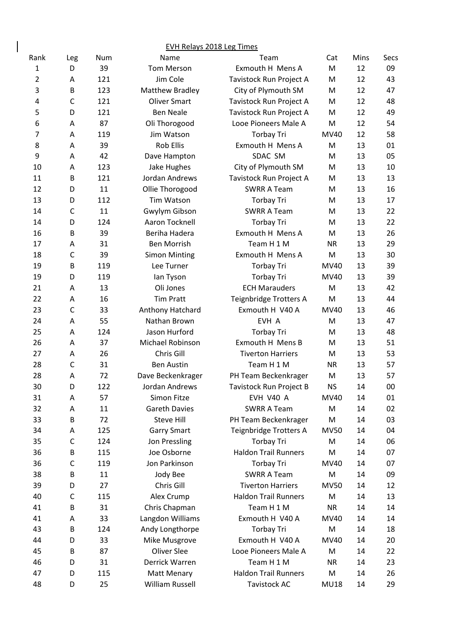|                |              |     | <b>EVH Relays 2018 Leg Times</b> |                             |             |          |          |
|----------------|--------------|-----|----------------------------------|-----------------------------|-------------|----------|----------|
| Rank           | Leg          | Num | Name                             | Team                        | Cat         | Mins     | Secs     |
| 1              | D            | 39  | <b>Tom Merson</b>                | Exmouth H Mens A            | M           | 12       | 09       |
| 2              | A            | 121 | Jim Cole                         | Tavistock Run Project A     | M           | 12       | 43       |
| 3              | B            | 123 | <b>Matthew Bradley</b>           | City of Plymouth SM         | M           | 12       | 47       |
| 4              | $\mathsf{C}$ | 121 | <b>Oliver Smart</b>              | Tavistock Run Project A     | M           | 12       | 48       |
| 5              | D            | 121 | <b>Ben Neale</b>                 | Tavistock Run Project A     | M           | 12       | 49       |
| 6              | A            | 87  | Oli Thorogood                    | Looe Pioneers Male A        | M           | 12       | 54       |
| $\overline{7}$ | A            | 119 | Jim Watson                       | <b>Torbay Tri</b>           | MV40        | 12       | 58       |
| 8              | A            | 39  | <b>Rob Ellis</b>                 | Exmouth H Mens A            | M           | 13       | 01       |
| 9              | Α            | 42  | Dave Hampton                     | SDAC SM                     | M           | 13       | 05       |
| 10             | Α            | 123 | Jake Hughes                      | City of Plymouth SM         | M           | 13       | 10       |
| 11             | B            | 121 | Jordan Andrews                   | Tavistock Run Project A     | M           | 13       | 13       |
| 12             | D            | 11  | Ollie Thorogood                  | <b>SWRR A Team</b>          | M           | 13       | 16       |
| 13             | D            | 112 | <b>Tim Watson</b>                | <b>Torbay Tri</b>           | M           | 13       | 17       |
| 14             | $\mathsf C$  | 11  | Gwylym Gibson                    | <b>SWRR A Team</b>          | M           | 13       | 22       |
| 14             | D            | 124 | Aaron Tocknell                   | <b>Torbay Tri</b>           | M           | 13       | 22       |
| 16             | B            | 39  | Beriha Hadera                    | Exmouth H Mens A            | M           | 13       | 26       |
| 17             | Α            | 31  | <b>Ben Morrish</b>               | Team H 1 M                  | <b>NR</b>   | 13       | 29       |
| 18             | $\mathsf{C}$ | 39  | <b>Simon Minting</b>             | Exmouth H Mens A            | M           | 13       | 30       |
| 19             | B            | 119 | Lee Turner                       | <b>Torbay Tri</b>           | MV40        | 13       | 39       |
| 19             | D            | 119 | lan Tyson                        | <b>Torbay Tri</b>           | MV40        | 13       | 39       |
| 21             | A            | 13  | Oli Jones                        | <b>ECH Marauders</b>        | M           | 13       | 42       |
| 22             | Α            | 16  | <b>Tim Pratt</b>                 | Teignbridge Trotters A      | M           | 13       | 44       |
| 23             | $\mathsf{C}$ | 33  | Anthony Hatchard                 | Exmouth H V40 A             | MV40        | 13       | 46       |
| 24             | Α            | 55  | Nathan Brown                     | EVH A                       | M           | 13       | 47       |
| 25             | A            | 124 | Jason Hurford                    | <b>Torbay Tri</b>           | M           | 13       | 48       |
| 26             | A            | 37  | Michael Robinson                 | Exmouth H Mens B            | M           | 13       | 51       |
| 27             | Α            | 26  | Chris Gill                       | <b>Tiverton Harriers</b>    | M           | 13       | 53       |
| 28             | $\mathsf{C}$ | 31  | <b>Ben Austin</b>                | Team H 1 M                  | <b>NR</b>   | 13       | 57       |
| 28             | A            | 72  | Dave Beckenkrager                | PH Team Beckenkrager        | M           | 13       | 57       |
| 30             | D            | 122 | Jordan Andrews                   | Tavistock Run Project B     | <b>NS</b>   | 14       | 00       |
| 31             | Α            | 57  | Simon Fitze                      | EVH V40 A                   | MV40        | 14       | 01       |
| 32             | A            | 11  | <b>Gareth Davies</b>             | <b>SWRR A Team</b>          | M           | 14       | 02       |
| 33             | B            | 72  | Steve Hill                       | PH Team Beckenkrager        | M           | 14       | 03       |
| 34             | A            | 125 | <b>Garry Smart</b>               | Teignbridge Trotters A      | <b>MV50</b> | 14       | 04       |
| 35             | C            | 124 | Jon Pressling                    | <b>Torbay Tri</b>           | M           | 14       | 06       |
| 36             | В            | 115 | Joe Osborne                      | <b>Haldon Trail Runners</b> | M           | 14       | 07       |
| 36             | $\mathsf{C}$ | 119 | Jon Parkinson                    | <b>Torbay Tri</b>           | MV40        | 14       | 07       |
| 38             | B            | 11  | Jody Bee                         | <b>SWRR A Team</b>          | M           | 14       | 09       |
| 39             | D            | 27  | Chris Gill                       | <b>Tiverton Harriers</b>    | <b>MV50</b> | 14       | 12       |
| 40             | C            | 115 | Alex Crump                       | <b>Haldon Trail Runners</b> | M           | 14       | 13       |
| 41             | B            | 31  | Chris Chapman                    | Team H 1 M                  | <b>NR</b>   |          |          |
| 41             | A            | 33  |                                  | Exmouth H V40 A             | MV40        | 14<br>14 | 14<br>14 |
| 43             |              |     | Langdon Williams                 |                             |             |          |          |
|                | B            | 124 | Andy Longthorpe                  | <b>Torbay Tri</b>           | M           | 14       | 18       |
| 44             | D            | 33  | Mike Musgrove                    | Exmouth H V40 A             | MV40        | 14       | 20       |
| 45             | B            | 87  | <b>Oliver Slee</b>               | Looe Pioneers Male A        | M           | 14       | 22       |
| 46             | D            | 31  | Derrick Warren                   | Team H 1 M                  | <b>NR</b>   | 14       | 23       |
| 47             | D            | 115 | Matt Menary                      | <b>Haldon Trail Runners</b> | M           | 14       | 26       |
| 48             | D            | 25  | William Russell                  | <b>Tavistock AC</b>         | <b>MU18</b> | 14       | 29       |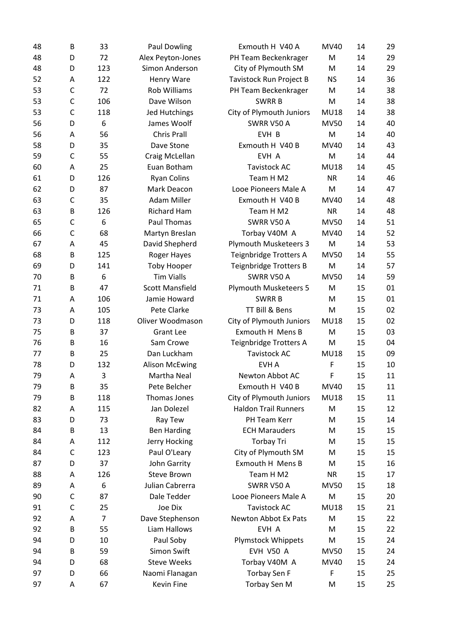| 48 | B | 33        | <b>Paul Dowling</b>    | Exmouth H V40 A               | MV40        | 14 | 29 |
|----|---|-----------|------------------------|-------------------------------|-------------|----|----|
| 48 | D | 72        | Alex Peyton-Jones      | PH Team Beckenkrager          | M           | 14 | 29 |
| 48 | D | 123       | Simon Anderson         | City of Plymouth SM           | M           | 14 | 29 |
| 52 | Α | 122       | Henry Ware             | Tavistock Run Project B       | <b>NS</b>   | 14 | 36 |
| 53 | C | 72        | <b>Rob Williams</b>    | PH Team Beckenkrager          | M           | 14 | 38 |
| 53 | C | 106       | Dave Wilson            | <b>SWRRB</b>                  | M           | 14 | 38 |
| 53 | C | 118       | Jed Hutchings          | City of Plymouth Juniors      | <b>MU18</b> | 14 | 38 |
| 56 | D | 6         | James Woolf            | SWRR V50 A                    | <b>MV50</b> | 14 | 40 |
| 56 | Α | 56        | <b>Chris Prall</b>     | EVH B                         | M           | 14 | 40 |
| 58 | D | 35        | Dave Stone             | Exmouth H V40 B               | MV40        | 14 | 43 |
| 59 | C | 55        | Craig McLellan         | EVH A                         | M           | 14 | 44 |
| 60 | Α | 25        | Euan Botham            | <b>Tavistock AC</b>           | <b>MU18</b> | 14 | 45 |
| 61 | D | 126       | <b>Ryan Colins</b>     | Team H M2                     | <b>NR</b>   | 14 | 46 |
| 62 | D | 87        | Mark Deacon            | Looe Pioneers Male A          | M           | 14 | 47 |
| 63 | C | 35        | <b>Adam Miller</b>     | Exmouth H V40 B               | <b>MV40</b> | 14 | 48 |
| 63 | B | 126       | <b>Richard Ham</b>     | Team H M2                     | <b>NR</b>   | 14 | 48 |
| 65 | C | 6         | Paul Thomas            | SWRR V50 A                    | <b>MV50</b> | 14 | 51 |
| 66 | C | 68        | Martyn Breslan         | Torbay V40M A                 | MV40        | 14 | 52 |
| 67 | Α | 45        | David Shepherd         | Plymouth Musketeers 3         | M           | 14 | 53 |
| 68 | B | 125       | Roger Hayes            | Teignbridge Trotters A        | <b>MV50</b> | 14 | 55 |
| 69 | D | 141       | <b>Toby Hooper</b>     | <b>Teignbridge Trotters B</b> | M           | 14 | 57 |
| 70 | B | 6         | <b>Tim Vialls</b>      | SWRR V50 A                    | <b>MV50</b> | 14 | 59 |
| 71 | B | 47        | <b>Scott Mansfield</b> | Plymouth Musketeers 5         | M           | 15 | 01 |
| 71 | Α | 106       | Jamie Howard           | <b>SWRRB</b>                  | M           | 15 | 01 |
| 73 | A | 105       | Pete Clarke            | TT Bill & Bens                | M           | 15 | 02 |
| 73 | D | 118       | Oliver Woodmason       | City of Plymouth Juniors      | <b>MU18</b> | 15 | 02 |
| 75 | B | 37        | <b>Grant Lee</b>       | Exmouth H Mens B              | M           | 15 | 03 |
| 76 | B | 16        | Sam Crowe              | Teignbridge Trotters A        | M           | 15 | 04 |
| 77 | B | 25        | Dan Luckham            | <b>Tavistock AC</b>           | <b>MU18</b> | 15 | 09 |
| 78 | D | 132       | <b>Alison McEwing</b>  | <b>EVHA</b>                   | F           | 15 | 10 |
| 79 | Α | 3         | Martha Neal            | Newton Abbot AC               | F           | 15 | 11 |
| 79 | B | 35        | Pete Belcher           | Exmouth H V40 B               | MV40        | 15 | 11 |
| 79 | B | 118       | Thomas Jones           | City of Plymouth Juniors      | <b>MU18</b> | 15 | 11 |
| 82 |   |           | Jan Dolezel            | <b>Haldon Trail Runners</b>   | M           | 15 | 12 |
|    | Α | 115<br>73 |                        | PH Team Kerr                  |             |    | 14 |
| 83 | D |           | Ray Tew                |                               | M           | 15 |    |
| 84 | B | 13        | <b>Ben Harding</b>     | <b>ECH Marauders</b>          | M           | 15 | 15 |
| 84 | Α | 112       | Jerry Hocking          | <b>Torbay Tri</b>             | M           | 15 | 15 |
| 84 | C | 123       | Paul O'Leary           | City of Plymouth SM           | M           | 15 | 15 |
| 87 | D | 37        | John Garrity           | Exmouth H Mens B              | M           | 15 | 16 |
| 88 | Α | 126       | <b>Steve Brown</b>     | Team H M2                     | <b>NR</b>   | 15 | 17 |
| 89 | Α | 6         | Julian Cabrerra        | SWRR V50 A                    | <b>MV50</b> | 15 | 18 |
| 90 | С | 87        | Dale Tedder            | Looe Pioneers Male A          | M           | 15 | 20 |
| 91 | C | 25        | Joe Dix                | <b>Tavistock AC</b>           | <b>MU18</b> | 15 | 21 |
| 92 | Α | 7         | Dave Stephenson        | Newton Abbot Ex Pats          | M           | 15 | 22 |
| 92 | B | 55        | Liam Hallows           | EVH A                         | M           | 15 | 22 |
| 94 | D | 10        | Paul Soby              | Plymstock Whippets            | M           | 15 | 24 |
| 94 | В | 59        | Simon Swift            | <b>EVH V50 A</b>              | <b>MV50</b> | 15 | 24 |
| 94 | D | 68        | <b>Steve Weeks</b>     | Torbay V40M A                 | MV40        | 15 | 24 |
| 97 | D | 66        | Naomi Flanagan         | <b>Torbay Sen F</b>           | F           | 15 | 25 |
| 97 | Α | 67        | Kevin Fine             | Torbay Sen M                  | M           | 15 | 25 |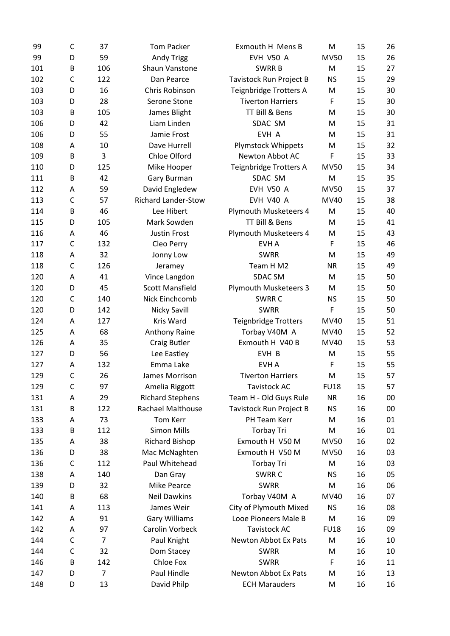| 99  | C            | 37             | <b>Tom Packer</b>          | Exmouth H Mens B             | M           | 15 | 26 |
|-----|--------------|----------------|----------------------------|------------------------------|-------------|----|----|
| 99  | D            | 59             | <b>Andy Trigg</b>          | <b>EVH V50 A</b>             | <b>MV50</b> | 15 | 26 |
| 101 | B            | 106            | Shaun Vanstone             | <b>SWRRB</b>                 | M           | 15 | 27 |
| 102 | C            | 122            | Dan Pearce                 | Tavistock Run Project B      | <b>NS</b>   | 15 | 29 |
| 103 | D            | 16             | Chris Robinson             | Teignbridge Trotters A       | M           | 15 | 30 |
| 103 | D            | 28             | Serone Stone               | <b>Tiverton Harriers</b>     | F           | 15 | 30 |
| 103 | B            | 105            | James Blight               | TT Bill & Bens               | M           | 15 | 30 |
| 106 | D            | 42             | Liam Linden                | SDAC SM                      | M           | 15 | 31 |
| 106 | D            | 55             | Jamie Frost                | EVH A                        | M           | 15 | 31 |
| 108 | Α            | 10             | Dave Hurrell               | <b>Plymstock Whippets</b>    | M           | 15 | 32 |
| 109 | B            | 3              | Chloe Olford               | Newton Abbot AC              | F           | 15 | 33 |
| 110 | D            | 125            | Mike Hooper                | Teignbridge Trotters A       | <b>MV50</b> | 15 | 34 |
| 111 | B            | 42             | Gary Burman                | SDAC SM                      | M           | 15 | 35 |
| 112 | Α            | 59             | David Engledew             | <b>EVH V50 A</b>             | <b>MV50</b> | 15 | 37 |
| 113 | $\mathsf{C}$ | 57             | <b>Richard Lander-Stow</b> | <b>EVH V40 A</b>             | MV40        | 15 | 38 |
| 114 | B            | 46             | Lee Hibert                 | Plymouth Musketeers 4        | M           | 15 | 40 |
| 115 | D            | 105            | Mark Sowden                | TT Bill & Bens               | M           | 15 | 41 |
| 116 | Α            | 46             | <b>Justin Frost</b>        | Plymouth Musketeers 4        | M           | 15 | 43 |
| 117 | $\mathsf{C}$ | 132            | Cleo Perry                 | EVH A                        | F           | 15 | 46 |
| 118 | Α            | 32             | Jonny Low                  | <b>SWRR</b>                  | M           | 15 | 49 |
| 118 | $\mathsf{C}$ | 126            | Jeramey                    | Team H M2                    | <b>NR</b>   | 15 | 49 |
| 120 | Α            | 41             | Vince Langdon              | <b>SDAC SM</b>               | M           | 15 | 50 |
| 120 | D            | 45             | <b>Scott Mansfield</b>     | <b>Plymouth Musketeers 3</b> | M           | 15 | 50 |
| 120 | C            | 140            | Nick Einchcomb             | SWRR C                       | <b>NS</b>   | 15 | 50 |
| 120 | D            | 142            |                            | <b>SWRR</b>                  | F           | 15 | 50 |
|     |              |                | Nicky Savill               |                              |             |    |    |
| 124 | Α            | 127            | Kris Ward                  | <b>Teignbridge Trotters</b>  | MV40        | 15 | 51 |
| 125 | Α            | 68             | Anthony Raine              | Torbay V40M A                | MV40        | 15 | 52 |
| 126 | Α            | 35             | <b>Craig Butler</b>        | Exmouth H V40 B              | MV40        | 15 | 53 |
| 127 | D            | 56             | Lee Eastley                | EVH B                        | M           | 15 | 55 |
| 127 | Α            | 132            | Emma Lake                  | <b>EVHA</b>                  | F           | 15 | 55 |
| 129 | $\mathsf{C}$ | 26             | James Morrison             | <b>Tiverton Harriers</b>     | M           | 15 | 57 |
| 129 | C            | 97             | Amelia Riggott             | <b>Tavistock AC</b>          | <b>FU18</b> | 15 | 57 |
| 131 | Α            | 29             | <b>Richard Stephens</b>    | Team H - Old Guys Rule       | <b>NR</b>   | 16 | 00 |
| 131 | B            | 122            | <b>Rachael Malthouse</b>   | Tavistock Run Project B      | <b>NS</b>   | 16 | 00 |
| 133 | Α            | 73             | Tom Kerr                   | PH Team Kerr                 | M           | 16 | 01 |
| 133 | B            | 112            | <b>Simon Mills</b>         | <b>Torbay Tri</b>            | M           | 16 | 01 |
| 135 | Α            | 38             | <b>Richard Bishop</b>      | Exmouth H V50 M              | <b>MV50</b> | 16 | 02 |
| 136 | D            | 38             | Mac McNaghten              | Exmouth H V50 M              | <b>MV50</b> | 16 | 03 |
| 136 | C            | 112            | Paul Whitehead             | <b>Torbay Tri</b>            | M           | 16 | 03 |
| 138 | Α            | 140            | Dan Gray                   | SWRR C                       | <b>NS</b>   | 16 | 05 |
| 139 | D            | 32             | Mike Pearce                | <b>SWRR</b>                  | M           | 16 | 06 |
| 140 | В            | 68             | <b>Neil Dawkins</b>        | Torbay V40M A                | MV40        | 16 | 07 |
| 141 | Α            | 113            | James Weir                 | City of Plymouth Mixed       | <b>NS</b>   | 16 | 08 |
| 142 | Α            | 91             | <b>Gary Williams</b>       | Looe Pioneers Male B         | M           | 16 | 09 |
| 142 | A            | 97             | Carolin Vorbeck            | <b>Tavistock AC</b>          | <b>FU18</b> | 16 | 09 |
| 144 | C            | $\overline{7}$ | Paul Knight                | Newton Abbot Ex Pats         | M           | 16 | 10 |
| 144 | C            | 32             | Dom Stacey                 | <b>SWRR</b>                  | M           | 16 | 10 |
| 146 | B            | 142            | Chloe Fox                  | <b>SWRR</b>                  | F           | 16 | 11 |
| 147 | D            | $\overline{7}$ | Paul Hindle                | Newton Abbot Ex Pats         | M           | 16 | 13 |
| 148 | D            | 13             | David Philp                | <b>ECH Marauders</b>         | M           | 16 | 16 |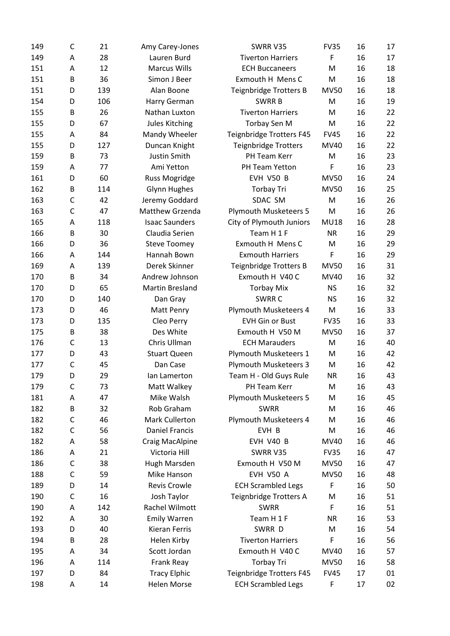| 149 | C            | 21  | Amy Carey-Jones        | SWRR V35                     | <b>FV35</b> | 16 | 17 |
|-----|--------------|-----|------------------------|------------------------------|-------------|----|----|
| 149 | Α            | 28  | Lauren Burd            | <b>Tiverton Harriers</b>     | F           | 16 | 17 |
| 151 | Α            | 12  | <b>Marcus Wills</b>    | <b>ECH Buccaneers</b>        | M           | 16 | 18 |
| 151 | B            | 36  | Simon J Beer           | Exmouth H Mens C             | M           | 16 | 18 |
| 151 | D            | 139 | Alan Boone             | Teignbridge Trotters B       | <b>MV50</b> | 16 | 18 |
| 154 | D            | 106 | Harry German           | <b>SWRRB</b>                 | M           | 16 | 19 |
| 155 | B            | 26  | Nathan Luxton          | <b>Tiverton Harriers</b>     | M           | 16 | 22 |
| 155 | D            | 67  | Jules Kitching         | Torbay Sen M                 | M           | 16 | 22 |
| 155 | Α            | 84  | Mandy Wheeler          | Teignbridge Trotters F45     | <b>FV45</b> | 16 | 22 |
| 155 | D            | 127 | Duncan Knight          | <b>Teignbridge Trotters</b>  | MV40        | 16 | 22 |
| 159 | B            | 73  | Justin Smith           | PH Team Kerr                 | M           | 16 | 23 |
| 159 | A            | 77  | Ami Yetton             | PH Team Yetton               | F           | 16 | 23 |
| 161 | D            | 60  | Russ Mogridge          | EVH V50 B                    | <b>MV50</b> | 16 | 24 |
| 162 | B            | 114 | <b>Glynn Hughes</b>    | Torbay Tri                   | <b>MV50</b> | 16 | 25 |
| 163 | $\mathsf{C}$ | 42  | Jeremy Goddard         | SDAC SM                      | M           | 16 | 26 |
| 163 | $\mathsf{C}$ | 47  | Matthew Grzenda        | <b>Plymouth Musketeers 5</b> | M           | 16 | 26 |
| 165 | Α            | 118 | <b>Isaac Saunders</b>  | City of Plymouth Juniors     | <b>MU18</b> | 16 | 28 |
| 166 | B            | 30  | Claudia Serien         | Team H 1 F                   | <b>NR</b>   | 16 | 29 |
| 166 | D            | 36  | <b>Steve Toomey</b>    | Exmouth H Mens C             | M           | 16 | 29 |
| 166 | Α            | 144 | Hannah Bown            | <b>Exmouth Harriers</b>      | F           | 16 | 29 |
| 169 | Α            | 139 | Derek Skinner          | Teignbridge Trotters B       | <b>MV50</b> | 16 | 31 |
| 170 | B            | 34  | Andrew Johnson         | Exmouth H V40 C              | MV40        | 16 | 32 |
| 170 | D            | 65  | <b>Martin Bresland</b> | <b>Torbay Mix</b>            | <b>NS</b>   | 16 | 32 |
| 170 | D            | 140 | Dan Gray               | SWRR C                       | <b>NS</b>   | 16 | 32 |
| 173 | D            | 46  | Matt Penry             | Plymouth Musketeers 4        | M           | 16 | 33 |
| 173 | D            | 135 | Cleo Perry             | <b>EVH Gin or Bust</b>       | <b>FV35</b> | 16 | 33 |
| 175 | B            | 38  | Des White              | Exmouth H V50 M              | <b>MV50</b> | 16 | 37 |
| 176 | C            | 13  | Chris Ullman           | <b>ECH Marauders</b>         | M           | 16 | 40 |
| 177 | D            | 43  | <b>Stuart Queen</b>    | Plymouth Musketeers 1        | M           | 16 | 42 |
| 177 | $\mathsf{C}$ | 45  | Dan Case               | <b>Plymouth Musketeers 3</b> | M           | 16 | 42 |
| 179 | D            | 29  | lan Lamerton           | Team H - Old Guys Rule       | <b>NR</b>   | 16 | 43 |
| 179 | C            | 73  | Matt Walkey            | PH Team Kerr                 | M           | 16 | 43 |
| 181 | Α            | 47  | Mike Walsh             | <b>Plymouth Musketeers 5</b> | M           | 16 | 45 |
| 182 | B            | 32  | Rob Graham             | <b>SWRR</b>                  | M           | 16 | 46 |
| 182 | C            | 46  | Mark Cullerton         | Plymouth Musketeers 4        | M           | 16 | 46 |
| 182 | C            | 56  | <b>Daniel Francis</b>  | EVH B                        | M           | 16 | 46 |
| 182 | Α            | 58  | Craig MacAlpine        | EVH V40 B                    | MV40        | 16 | 46 |
| 186 | Α            | 21  | Victoria Hill          | SWRR V35                     | <b>FV35</b> | 16 | 47 |
| 186 | C            | 38  | Hugh Marsden           | Exmouth H V50 M              | <b>MV50</b> | 16 | 47 |
| 188 | C            | 59  | Mike Hanson            | <b>EVH V50 A</b>             | <b>MV50</b> | 16 | 48 |
| 189 | D            | 14  | <b>Revis Crowle</b>    | <b>ECH Scrambled Legs</b>    | F           | 16 | 50 |
| 190 | C            | 16  | Josh Taylor            | Teignbridge Trotters A       | M           | 16 | 51 |
| 190 | Α            | 142 | Rachel Wilmott         | <b>SWRR</b>                  | F           | 16 | 51 |
| 192 | Α            | 30  | <b>Emily Warren</b>    | Team H 1 F                   | <b>NR</b>   | 16 | 53 |
| 193 | D            | 40  | Kieran Ferris          | SWRR D                       | M           | 16 | 54 |
| 194 | B            | 28  | Helen Kirby            | <b>Tiverton Harriers</b>     | F           | 16 | 56 |
| 195 | Α            | 34  | Scott Jordan           | Exmouth H V40 C              | MV40        | 16 | 57 |
| 196 | Α            | 114 | Frank Reay             | <b>Torbay Tri</b>            | <b>MV50</b> | 16 | 58 |
| 197 | D            | 84  | <b>Tracy Elphic</b>    | Teignbridge Trotters F45     | <b>FV45</b> | 17 | 01 |
| 198 | Α            | 14  | Helen Morse            | <b>ECH Scrambled Legs</b>    | F           | 17 | 02 |
|     |              |     |                        |                              |             |    |    |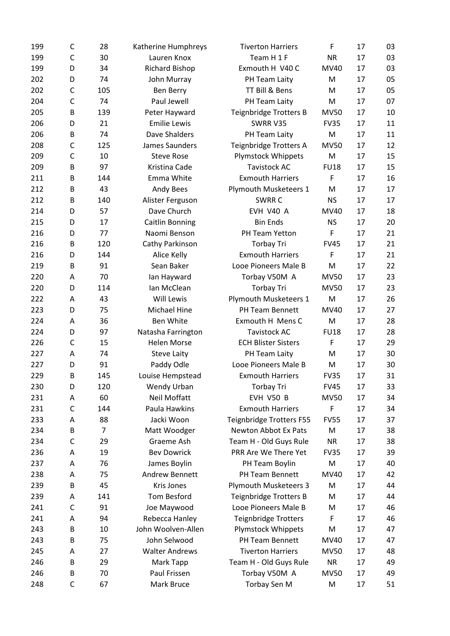| 199 | C            | 28             | Katherine Humphreys    | <b>Tiverton Harriers</b>        | F           | 17 | 03 |
|-----|--------------|----------------|------------------------|---------------------------------|-------------|----|----|
| 199 | C            | 30             | Lauren Knox            | Team H 1 F                      | <b>NR</b>   | 17 | 03 |
| 199 | D            | 34             | <b>Richard Bishop</b>  | Exmouth H V40 C                 | MV40        | 17 | 03 |
| 202 | D            | 74             | John Murray            | PH Team Laity                   | M           | 17 | 05 |
| 202 | C            | 105            | Ben Berry              | TT Bill & Bens                  | M           | 17 | 05 |
| 204 | C            | 74             | Paul Jewell            | PH Team Laity                   | M           | 17 | 07 |
| 205 | B            | 139            | Peter Hayward          | <b>Teignbridge Trotters B</b>   | <b>MV50</b> | 17 | 10 |
| 206 | D            | 21             | <b>Emilie Lewis</b>    | SWRR V35                        | <b>FV35</b> | 17 | 11 |
| 206 | B            | 74             | Dave Shalders          | PH Team Laity                   | M           | 17 | 11 |
| 208 | C            | 125            | James Saunders         | Teignbridge Trotters A          | <b>MV50</b> | 17 | 12 |
| 209 | $\mathsf{C}$ | 10             | <b>Steve Rose</b>      | <b>Plymstock Whippets</b>       | M           | 17 | 15 |
| 209 | B            | 97             | Kristina Cade          | <b>Tavistock AC</b>             | <b>FU18</b> | 17 | 15 |
| 211 | B            | 144            | Emma White             | <b>Exmouth Harriers</b>         | F           | 17 | 16 |
| 212 | B            | 43             | Andy Bees              | Plymouth Musketeers 1           | M           | 17 | 17 |
| 212 | B            | 140            | Alister Ferguson       | SWRR C                          | <b>NS</b>   | 17 | 17 |
| 214 | D            | 57             | Dave Church            | <b>EVH V40 A</b>                | MV40        | 17 | 18 |
| 215 | D            | 17             | <b>Caitlin Bonning</b> | <b>Bin Ends</b>                 | <b>NS</b>   | 17 | 20 |
| 216 | D            | 77             | Naomi Benson           | PH Team Yetton                  | F           | 17 | 21 |
| 216 | B            | 120            | Cathy Parkinson        | <b>Torbay Tri</b>               | <b>FV45</b> | 17 | 21 |
| 216 | D            | 144            | Alice Kelly            | <b>Exmouth Harriers</b>         | F           | 17 | 21 |
| 219 | B            | 91             | Sean Baker             | Looe Pioneers Male B            | M           | 17 | 22 |
| 220 | Α            | 70             | lan Hayward            | Torbay V50M A                   | <b>MV50</b> | 17 | 23 |
| 220 | D            | 114            | Ian McClean            | <b>Torbay Tri</b>               | <b>MV50</b> | 17 | 23 |
| 222 | Α            | 43             | <b>Will Lewis</b>      | Plymouth Musketeers 1           | M           | 17 | 26 |
| 223 | D            | 75             | Michael Hine           | PH Team Bennett                 | MV40        | 17 | 27 |
| 224 | Α            | 36             | Ben White              | Exmouth H Mens C                | M           | 17 | 28 |
| 224 | D            | 97             | Natasha Farrington     | <b>Tavistock AC</b>             | <b>FU18</b> | 17 | 28 |
| 226 | $\mathsf{C}$ | 15             | <b>Helen Morse</b>     | <b>ECH Blister Sisters</b>      | F           | 17 | 29 |
| 227 | A            | 74             | <b>Steve Laity</b>     | PH Team Laity                   | M           | 17 | 30 |
| 227 | D            | 91             | Paddy Odle             | Looe Pioneers Male B            | M           | 17 | 30 |
| 229 | B            | 145            | Louise Hempstead       | <b>Exmouth Harriers</b>         | <b>FV35</b> | 17 | 31 |
| 230 | D            | 120            | Wendy Urban            | <b>Torbay Tri</b>               | <b>FV45</b> | 17 | 33 |
| 231 | Α            | 60             | <b>Neil Moffatt</b>    | EVH V50 B                       | <b>MV50</b> | 17 | 34 |
| 231 | C            | 144            | Paula Hawkins          | <b>Exmouth Harriers</b>         | F           | 17 | 34 |
| 233 | Α            | 88             | Jacki Woon             | <b>Teignbridge Trotters F55</b> | <b>FV55</b> | 17 | 37 |
| 234 | B            | $\overline{7}$ | Matt Woodger           | Newton Abbot Ex Pats            | M           | 17 | 38 |
| 234 | C            | 29             | Graeme Ash             | Team H - Old Guys Rule          | <b>NR</b>   | 17 | 38 |
| 236 | Α            | 19             | <b>Bev Dowrick</b>     | PRR Are We There Yet            | <b>FV35</b> | 17 | 39 |
| 237 | Α            | 76             | James Boylin           | PH Team Boylin                  | M           | 17 | 40 |
| 238 | Α            | 75             | <b>Andrew Bennett</b>  | PH Team Bennett                 | MV40        | 17 | 42 |
| 239 | B            | 45             | Kris Jones             | <b>Plymouth Musketeers 3</b>    | M           | 17 | 44 |
| 239 | Α            | 141            | <b>Tom Besford</b>     | <b>Teignbridge Trotters B</b>   | M           | 17 | 44 |
| 241 | C            | 91             | Joe Maywood            | Looe Pioneers Male B            | M           | 17 | 46 |
| 241 | Α            | 94             | Rebecca Hanley         | <b>Teignbridge Trotters</b>     | F           | 17 | 46 |
| 243 | B            | 10             | John Woolven-Allen     | <b>Plymstock Whippets</b>       | M           | 17 | 47 |
| 243 | B            | 75             | John Selwood           | PH Team Bennett                 | MV40        | 17 | 47 |
| 245 | Α            | 27             | <b>Walter Andrews</b>  | <b>Tiverton Harriers</b>        | <b>MV50</b> | 17 | 48 |
| 246 | B            | 29             | Mark Tapp              | Team H - Old Guys Rule          | <b>NR</b>   | 17 | 49 |
| 246 | В            | 70             | Paul Frissen           | Torbay V50M A                   | <b>MV50</b> | 17 | 49 |
| 248 | C            | 67             |                        |                                 |             |    |    |
|     |              |                | Mark Bruce             | Torbay Sen M                    | M           | 17 | 51 |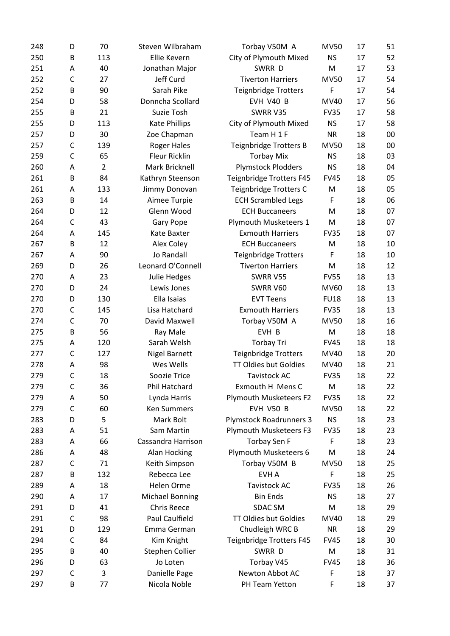| 248 | D            | 70             | Steven Wilbraham       | Torbay V50M A                  | <b>MV50</b> | 17 | 51 |
|-----|--------------|----------------|------------------------|--------------------------------|-------------|----|----|
| 250 | B            | 113            | Ellie Kevern           | City of Plymouth Mixed         | <b>NS</b>   | 17 | 52 |
| 251 | Α            | 40             | Jonathan Major         | SWRR D                         | M           | 17 | 53 |
| 252 | C            | 27             | Jeff Curd              | <b>Tiverton Harriers</b>       | <b>MV50</b> | 17 | 54 |
| 252 | B            | 90             | Sarah Pike             | <b>Teignbridge Trotters</b>    | F           | 17 | 54 |
| 254 | D            | 58             | Donncha Scollard       | EVH V40 B                      | MV40        | 17 | 56 |
| 255 | B            | 21             | Suzie Tosh             | SWRR V35                       | <b>FV35</b> | 17 | 58 |
| 255 | D            | 113            | Kate Phillips          | City of Plymouth Mixed         | <b>NS</b>   | 17 | 58 |
| 257 | D            | 30             | Zoe Chapman            | Team H 1 F                     | <b>NR</b>   | 18 | 00 |
| 257 | $\mathsf{C}$ | 139            | <b>Roger Hales</b>     | Teignbridge Trotters B         | <b>MV50</b> | 18 | 00 |
| 259 | $\mathsf{C}$ | 65             | <b>Fleur Ricklin</b>   | <b>Torbay Mix</b>              | <b>NS</b>   | 18 | 03 |
| 260 | Α            | $\overline{2}$ | Mark Bricknell         | <b>Plymstock Plodders</b>      | <b>NS</b>   | 18 | 04 |
| 261 | B            | 84             | Kathryn Steenson       | Teignbridge Trotters F45       | <b>FV45</b> | 18 | 05 |
| 261 | Α            | 133            | Jimmy Donovan          | Teignbridge Trotters C         | M           | 18 | 05 |
| 263 | B            | 14             | Aimee Turpie           | <b>ECH Scrambled Legs</b>      | F           | 18 | 06 |
| 264 | D            | 12             | Glenn Wood             | <b>ECH Buccaneers</b>          | M           | 18 | 07 |
| 264 | $\mathsf{C}$ | 43             | <b>Gary Pope</b>       | Plymouth Musketeers 1          | M           | 18 | 07 |
| 264 | Α            | 145            | Kate Baxter            | <b>Exmouth Harriers</b>        | <b>FV35</b> | 18 | 07 |
| 267 | B            | 12             | Alex Coley             | <b>ECH Buccaneers</b>          | M           | 18 | 10 |
| 267 | Α            | 90             | Jo Randall             | <b>Teignbridge Trotters</b>    | F           | 18 | 10 |
| 269 | D            | 26             | Leonard O'Connell      | <b>Tiverton Harriers</b>       | M           | 18 | 12 |
| 270 | Α            | 23             | Julie Hedges           | SWRR V55                       | <b>FV55</b> | 18 | 13 |
| 270 | D            | 24             | Lewis Jones            | SWRR V60                       | MV60        | 18 | 13 |
| 270 | D            | 130            | Ella Isaias            | <b>EVT Teens</b>               | <b>FU18</b> | 18 | 13 |
| 270 | C            | 145            | Lisa Hatchard          | <b>Exmouth Harriers</b>        | <b>FV35</b> | 18 | 13 |
| 274 | C            | 70             | David Maxwell          | Torbay V50M A                  | <b>MV50</b> | 18 | 16 |
| 275 | B            | 56             | Ray Male               | EVH B                          | M           | 18 | 18 |
| 275 | Α            | 120            | Sarah Welsh            | <b>Torbay Tri</b>              | <b>FV45</b> | 18 | 18 |
| 277 | $\mathsf{C}$ | 127            | <b>Nigel Barnett</b>   | <b>Teignbridge Trotters</b>    | MV40        | 18 | 20 |
| 278 | Α            | 98             | Wes Wells              | TT Oldies but Goldies          | MV40        | 18 | 21 |
| 279 | $\mathsf{C}$ | 18             | Soozie Trice           | <b>Tavistock AC</b>            | <b>FV35</b> | 18 | 22 |
| 279 | C            | 36             | Phil Hatchard          | Exmouth H Mens C               | M           | 18 | 22 |
| 279 | Α            | 50             | Lynda Harris           | Plymouth Musketeers F2         | <b>FV35</b> | 18 | 22 |
| 279 | C            | 60             | <b>Ken Summers</b>     | <b>EVH V50 B</b>               | <b>MV50</b> | 18 | 22 |
| 283 | D            | 5              | Mark Bolt              | <b>Plymstock Roadrunners 3</b> | <b>NS</b>   | 18 | 23 |
| 283 | Α            | 51             | Sam Martin             | <b>Plymouth Musketeers F3</b>  | <b>FV35</b> | 18 | 23 |
| 283 | Α            | 66             | Cassandra Harrison     | <b>Torbay Sen F</b>            | F           | 18 | 23 |
|     |              | 48             |                        |                                | M           | 18 | 24 |
| 286 | Α            |                | Alan Hocking           | Plymouth Musketeers 6          |             |    |    |
| 287 | C            | 71             | Keith Simpson          | Torbay V50M B                  | <b>MV50</b> | 18 | 25 |
| 287 | В            | 132            | Rebecca Lee            | EVH A                          | F           | 18 | 25 |
| 289 | Α            | 18             | Helen Orme             | <b>Tavistock AC</b>            | <b>FV35</b> | 18 | 26 |
| 290 | Α            | 17             | <b>Michael Bonning</b> | <b>Bin Ends</b>                | <b>NS</b>   | 18 | 27 |
| 291 | D            | 41             | <b>Chris Reece</b>     | SDAC SM                        | M           | 18 | 29 |
| 291 | C            | 98             | Paul Caulfield         | TT Oldies but Goldies          | MV40        | 18 | 29 |
| 291 | D            | 129            | Emma German            | Chudleigh WRC B                | <b>NR</b>   | 18 | 29 |
| 294 | C            | 84             | Kim Knight             | Teignbridge Trotters F45       | <b>FV45</b> | 18 | 30 |
| 295 | В            | 40             | Stephen Collier        | SWRR D                         | M           | 18 | 31 |
| 296 | D            | 63             | Jo Loten               | Torbay V45                     | <b>FV45</b> | 18 | 36 |
| 297 | C            | 3              | Danielle Page          | Newton Abbot AC                | F           | 18 | 37 |
| 297 | B            | 77             | Nicola Noble           | PH Team Yetton                 | F           | 18 | 37 |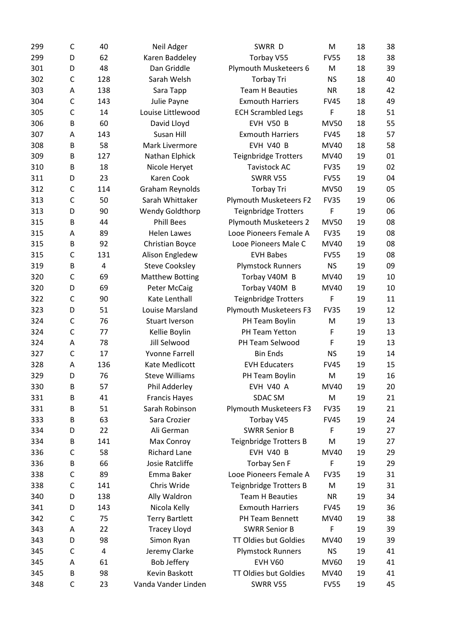| 299 | C            | 40  | Neil Adger             | SWRR D                             | M           | 18 | 38 |
|-----|--------------|-----|------------------------|------------------------------------|-------------|----|----|
| 299 | D            | 62  | Karen Baddeley         | Torbay V55                         | <b>FV55</b> | 18 | 38 |
| 301 | D            | 48  | Dan Griddle            | Plymouth Musketeers 6              | M           | 18 | 39 |
| 302 | C            | 128 | Sarah Welsh            | <b>Torbay Tri</b>                  | <b>NS</b>   | 18 | 40 |
| 303 | Α            | 138 | Sara Tapp              | <b>Team H Beauties</b>             | <b>NR</b>   | 18 | 42 |
| 304 | C            | 143 | Julie Payne            | <b>Exmouth Harriers</b>            | <b>FV45</b> | 18 | 49 |
| 305 | $\mathsf{C}$ | 14  | Louise Littlewood      | <b>ECH Scrambled Legs</b>          | F           | 18 | 51 |
| 306 | B            | 60  | David Lloyd            | EVH V50 B                          | <b>MV50</b> | 18 | 55 |
| 307 | Α            | 143 | Susan Hill             | <b>Exmouth Harriers</b>            | <b>FV45</b> | 18 | 57 |
| 308 | B            | 58  | Mark Livermore         | EVH V40 B                          | MV40        | 18 | 58 |
| 309 | B            | 127 | Nathan Elphick         | <b>Teignbridge Trotters</b>        | MV40        | 19 | 01 |
| 310 | B            | 18  | Nicole Heryet          | <b>Tavistock AC</b>                | <b>FV35</b> | 19 | 02 |
| 311 | D            | 23  | Karen Cook             | SWRR V55                           | <b>FV55</b> | 19 | 04 |
| 312 | C            | 114 | Graham Reynolds        | <b>Torbay Tri</b>                  | <b>MV50</b> | 19 | 05 |
| 313 | $\mathsf{C}$ | 50  | Sarah Whittaker        | Plymouth Musketeers F2             | <b>FV35</b> | 19 | 06 |
| 313 | D            | 90  | <b>Wendy Goldthorp</b> | <b>Teignbridge Trotters</b>        | F           | 19 | 06 |
| 315 | B            | 44  | <b>Phill Bees</b>      | <b>Plymouth Musketeers 2</b>       | <b>MV50</b> | 19 | 08 |
| 315 | Α            | 89  | <b>Helen Lawes</b>     | Looe Pioneers Female A             | <b>FV35</b> | 19 | 08 |
| 315 | B            | 92  | Christian Boyce        | Looe Pioneers Male C               | <b>MV40</b> | 19 | 08 |
| 315 | C            | 131 | Alison Engledew        | <b>EVH Babes</b>                   | <b>FV55</b> | 19 | 08 |
| 319 | B            | 4   | <b>Steve Cooksley</b>  | <b>Plymstock Runners</b>           | <b>NS</b>   | 19 | 09 |
| 320 | $\mathsf{C}$ | 69  | <b>Matthew Botting</b> | Torbay V40M B                      | MV40        | 19 | 10 |
| 320 | D            | 69  | <b>Peter McCaig</b>    | Torbay V40M B                      | MV40        | 19 | 10 |
| 322 | $\mathsf{C}$ | 90  | Kate Lenthall          | <b>Teignbridge Trotters</b>        | F           | 19 | 11 |
| 323 | D            | 51  | Louise Marsland        | Plymouth Musketeers F3             | <b>FV35</b> | 19 | 12 |
| 324 | C            | 76  | Stuart Iverson         | PH Team Boylin                     | M           | 19 | 13 |
|     | $\mathsf{C}$ |     |                        |                                    |             |    | 13 |
| 324 |              | 77  | Kellie Boylin          | PH Team Yetton                     | F           | 19 |    |
| 324 | Α            | 78  | Jill Selwood           | PH Team Selwood<br><b>Bin Ends</b> | F           | 19 | 13 |
| 327 | $\mathsf{C}$ | 17  | <b>Yvonne Farrell</b>  |                                    | <b>NS</b>   | 19 | 14 |
| 328 | Α            | 136 | Kate Medlicott         | <b>EVH Educaters</b>               | <b>FV45</b> | 19 | 15 |
| 329 | D            | 76  | <b>Steve Williams</b>  | PH Team Boylin                     | M           | 19 | 16 |
| 330 | B            | 57  | Phil Adderley          | EVH V40 A                          | MV40        | 19 | 20 |
| 331 | B            | 41  | <b>Francis Hayes</b>   | SDAC SM                            | M           | 19 | 21 |
| 331 | B            | 51  | Sarah Robinson         | Plymouth Musketeers F3             | <b>FV35</b> | 19 | 21 |
| 333 | B            | 63  | Sara Crozier           | Torbay V45                         | <b>FV45</b> | 19 | 24 |
| 334 | D            | 22  | Ali German             | <b>SWRR Senior B</b>               | F           | 19 | 27 |
| 334 | В            | 141 | Max Conroy             | Teignbridge Trotters B             | M           | 19 | 27 |
| 336 | C            | 58  | <b>Richard Lane</b>    | EVH V40 B                          | MV40        | 19 | 29 |
| 336 | B            | 66  | Josie Ratcliffe        | <b>Torbay Sen F</b>                | F           | 19 | 29 |
| 338 | $\mathsf{C}$ | 89  | Emma Baker             | Looe Pioneers Female A             | <b>FV35</b> | 19 | 31 |
| 338 | C            | 141 | Chris Wride            | Teignbridge Trotters B             | M           | 19 | 31 |
| 340 | D            | 138 | Ally Waldron           | <b>Team H Beauties</b>             | <b>NR</b>   | 19 | 34 |
| 341 | D            | 143 | Nicola Kelly           | <b>Exmouth Harriers</b>            | <b>FV45</b> | 19 | 36 |
| 342 | C            | 75  | <b>Terry Bartlett</b>  | PH Team Bennett                    | MV40        | 19 | 38 |
| 343 | Α            | 22  | <b>Tracey Lloyd</b>    | <b>SWRR Senior B</b>               | F           | 19 | 39 |
| 343 | D            | 98  | Simon Ryan             | TT Oldies but Goldies              | MV40        | 19 | 39 |
| 345 | C            | 4   | Jeremy Clarke          | <b>Plymstock Runners</b>           | <b>NS</b>   | 19 | 41 |
| 345 | Α            | 61  | Bob Jeffery            | <b>EVH V60</b>                     | MV60        | 19 | 41 |
| 345 | B            | 98  | Kevin Baskott          | TT Oldies but Goldies              | MV40        | 19 | 41 |
| 348 | $\mathsf C$  | 23  | Vanda Vander Linden    | SWRR V55                           | <b>FV55</b> | 19 | 45 |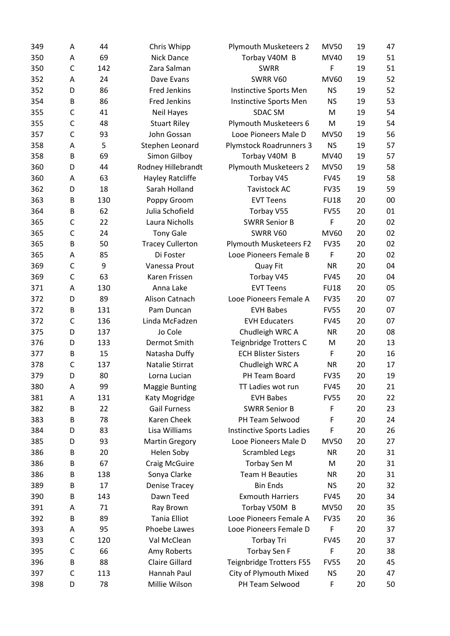| 349 | Α            | 44  | Chris Whipp             | <b>Plymouth Musketeers 2</b>                         | <b>MV50</b> | 19 | 47 |
|-----|--------------|-----|-------------------------|------------------------------------------------------|-------------|----|----|
| 350 | Α            | 69  | Nick Dance              | Torbay V40M B                                        | MV40        | 19 | 51 |
| 350 | $\mathsf{C}$ | 142 | Zara Salman             | <b>SWRR</b>                                          | F           | 19 | 51 |
| 352 | Α            | 24  | Dave Evans              | SWRR V60                                             | MV60        | 19 | 52 |
| 352 | D            | 86  | <b>Fred Jenkins</b>     | Instinctive Sports Men                               | <b>NS</b>   | 19 | 52 |
| 354 | B            | 86  | <b>Fred Jenkins</b>     | Instinctive Sports Men                               | <b>NS</b>   | 19 | 53 |
| 355 | C            | 41  | Neil Hayes              | <b>SDAC SM</b>                                       | M           | 19 | 54 |
| 355 | $\mathsf C$  | 48  | <b>Stuart Riley</b>     | Plymouth Musketeers 6                                | M           | 19 | 54 |
| 357 | $\mathsf{C}$ | 93  | John Gossan             | Looe Pioneers Male D                                 | <b>MV50</b> | 19 | 56 |
| 358 | Α            | 5   | Stephen Leonard         | <b>Plymstock Roadrunners 3</b>                       | <b>NS</b>   | 19 | 57 |
| 358 | B            | 69  | Simon Gilboy            | Torbay V40M B                                        | MV40        | 19 | 57 |
| 360 | D            | 44  | Rodney Hillebrandt      | <b>Plymouth Musketeers 2</b>                         | <b>MV50</b> | 19 | 58 |
| 360 | Α            | 63  | Hayley Ratcliffe        | Torbay V45                                           | <b>FV45</b> | 19 | 58 |
| 362 | D            | 18  | Sarah Holland           | <b>Tavistock AC</b>                                  | <b>FV35</b> | 19 | 59 |
| 363 | B            | 130 | Poppy Groom             | <b>EVT Teens</b>                                     | <b>FU18</b> | 20 | 00 |
| 364 | B            | 62  | Julia Schofield         | Torbay V55                                           | <b>FV55</b> | 20 | 01 |
| 365 | C            | 22  | Laura Nicholls          | <b>SWRR Senior B</b>                                 | F           | 20 | 02 |
| 365 | $\mathsf{C}$ | 24  | <b>Tony Gale</b>        | SWRR V60                                             | MV60        | 20 | 02 |
| 365 | B            | 50  | <b>Tracey Cullerton</b> | Plymouth Musketeers F2                               | <b>FV35</b> | 20 | 02 |
| 365 | Α            | 85  | Di Foster               | Looe Pioneers Female B                               | F           | 20 | 02 |
| 369 | C            | 9   | Vanessa Prout           | Quay Fit                                             | <b>NR</b>   | 20 | 04 |
| 369 | $\mathsf{C}$ | 63  | Karen Frissen           | Torbay V45                                           | <b>FV45</b> | 20 | 04 |
| 371 | Α            | 130 | Anna Lake               | <b>EVT Teens</b>                                     | <b>FU18</b> | 20 | 05 |
| 372 | D            | 89  | Alison Catnach          | Looe Pioneers Female A                               | <b>FV35</b> | 20 | 07 |
| 372 | B            | 131 | Pam Duncan              | <b>EVH Babes</b>                                     | <b>FV55</b> | 20 | 07 |
| 372 | C            | 136 | Linda McFadzen          | <b>EVH Educaters</b>                                 | <b>FV45</b> | 20 | 07 |
| 375 | D            | 137 | Jo Cole                 | Chudleigh WRC A                                      | <b>NR</b>   | 20 | 08 |
| 376 | D            | 133 | Dermot Smith            |                                                      |             | 20 | 13 |
| 377 | B            | 15  | Natasha Duffy           | Teignbridge Trotters C<br><b>ECH Blister Sisters</b> | M<br>F      | 20 | 16 |
| 378 | C            | 137 | Natalie Stirrat         |                                                      | <b>NR</b>   | 20 | 17 |
|     |              |     | Lorna Lucian            | Chudleigh WRC A                                      |             |    | 19 |
| 379 | D            | 80  |                         | PH Team Board                                        | <b>FV35</b> | 20 |    |
| 380 | Α            | 99  | <b>Maggie Bunting</b>   | TT Ladies wot run<br><b>EVH Babes</b>                | <b>FV45</b> | 20 | 21 |
| 381 | Α            | 131 | Katy Mogridge           |                                                      | <b>FV55</b> | 20 | 22 |
| 382 | B            | 22  | <b>Gail Furness</b>     | <b>SWRR Senior B</b>                                 | F           | 20 | 23 |
| 383 | B            | 78  | Karen Cheek             | PH Team Selwood                                      | F           | 20 | 24 |
| 384 | D            | 83  | Lisa Williams           | <b>Instinctive Sports Ladies</b>                     | F           | 20 | 26 |
| 385 | D            | 93  | <b>Martin Gregory</b>   | Looe Pioneers Male D                                 | <b>MV50</b> | 20 | 27 |
| 386 | B            | 20  | Helen Soby              | <b>Scrambled Legs</b>                                | <b>NR</b>   | 20 | 31 |
| 386 | В            | 67  | <b>Craig McGuire</b>    | Torbay Sen M                                         | M           | 20 | 31 |
| 386 | B            | 138 | Sonya Clarke            | <b>Team H Beauties</b>                               | <b>NR</b>   | 20 | 31 |
| 389 | B            | 17  | <b>Denise Tracey</b>    | <b>Bin Ends</b>                                      | <b>NS</b>   | 20 | 32 |
| 390 | B            | 143 | Dawn Teed               | <b>Exmouth Harriers</b>                              | <b>FV45</b> | 20 | 34 |
| 391 | Α            | 71  | Ray Brown               | Torbay V50M B                                        | <b>MV50</b> | 20 | 35 |
| 392 | B            | 89  | <b>Tania Elliot</b>     | Looe Pioneers Female A                               | <b>FV35</b> | 20 | 36 |
| 393 | Α            | 95  | Phoebe Lawes            | Looe Pioneers Female D                               | F           | 20 | 37 |
| 393 | C            | 120 | Val McClean             | <b>Torbay Tri</b>                                    | <b>FV45</b> | 20 | 37 |
| 395 | C            | 66  | Amy Roberts             | <b>Torbay Sen F</b>                                  | F           | 20 | 38 |
| 396 | B            | 88  | <b>Claire Gillard</b>   | Teignbridge Trotters F55                             | <b>FV55</b> | 20 | 45 |
| 397 | C            | 113 | Hannah Paul             | City of Plymouth Mixed                               | <b>NS</b>   | 20 | 47 |
| 398 | D            | 78  | Millie Wilson           | PH Team Selwood                                      | F           | 20 | 50 |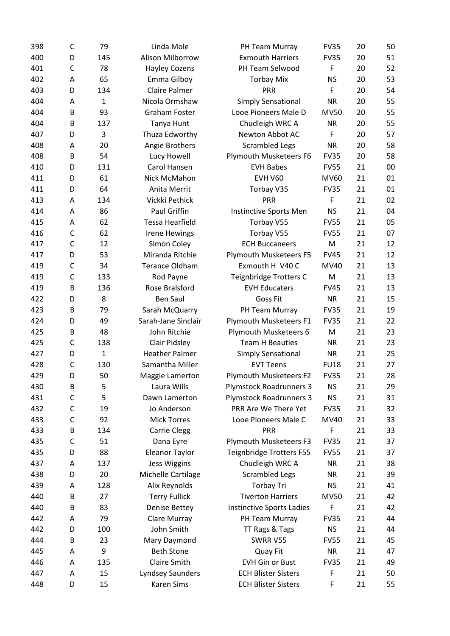| 398 | C            | 79           | Linda Mole             | PH Team Murray                   | <b>FV35</b> | 20 | 50 |
|-----|--------------|--------------|------------------------|----------------------------------|-------------|----|----|
| 400 | D            | 145          | Alison Milborrow       | <b>Exmouth Harriers</b>          | <b>FV35</b> | 20 | 51 |
| 401 | $\mathsf{C}$ | 78           | <b>Hayley Cozens</b>   | PH Team Selwood                  | F           | 20 | 52 |
| 402 | Α            | 65           | Emma Gilboy            | <b>Torbay Mix</b>                | <b>NS</b>   | 20 | 53 |
| 403 | D            | 134          | <b>Claire Palmer</b>   | PRR                              | F           | 20 | 54 |
| 404 | Α            | $\mathbf{1}$ | Nicola Ormshaw         | <b>Simply Sensational</b>        | <b>NR</b>   | 20 | 55 |
| 404 | B            | 93           | Graham Foster          | Looe Pioneers Male D             | <b>MV50</b> | 20 | 55 |
| 404 | B            | 137          | Tanya Hunt             | Chudleigh WRC A                  | <b>NR</b>   | 20 | 55 |
| 407 | D            | 3            | Thuza Edworthy         | Newton Abbot AC                  | F           | 20 | 57 |
| 408 | Α            | 20           | Angie Brothers         | <b>Scrambled Legs</b>            | <b>NR</b>   | 20 | 58 |
| 408 | B            | 54           | Lucy Howell            | Plymouth Musketeers F6           | <b>FV35</b> | 20 | 58 |
| 410 | D            | 131          | Carol Hansen           | <b>EVH Babes</b>                 | <b>FV55</b> | 21 | 00 |
| 411 | D            | 61           | Nick McMahon           | <b>EVH V60</b>                   | MV60        | 21 | 01 |
| 411 | D            | 64           | Anita Merrit           | Torbay V35                       | <b>FV35</b> | 21 | 01 |
| 413 | Α            | 134          | Vickki Pethick         | PRR                              | F           | 21 | 02 |
| 414 | Α            | 86           | <b>Paul Griffin</b>    | Instinctive Sports Men           | <b>NS</b>   | 21 | 04 |
| 415 | Α            | 62           | <b>Tessa Hearfield</b> | Torbay V55                       | <b>FV55</b> | 21 | 05 |
| 416 | C            | 62           | <b>Irene Hewings</b>   | Torbay V55                       | <b>FV55</b> | 21 | 07 |
| 417 | $\mathsf{C}$ | 12           | Simon Coley            | <b>ECH Buccaneers</b>            | M           | 21 | 12 |
| 417 | D            | 53           | Miranda Ritchie        | Plymouth Musketeers F5           | <b>FV45</b> | 21 | 12 |
| 419 | $\mathsf{C}$ | 34           | <b>Terance Oldham</b>  | Exmouth H V40 C                  | MV40        | 21 | 13 |
| 419 | $\mathsf{C}$ | 133          | Rod Payne              | Teignbridge Trotters C           | M           | 21 | 13 |
| 419 | B            | 136          | Rose Bralsford         | <b>EVH Educaters</b>             | <b>FV45</b> | 21 | 13 |
| 422 | D            | 8            | <b>Ben Saul</b>        | <b>Goss Fit</b>                  | <b>NR</b>   | 21 | 15 |
| 423 | B            | 79           | Sarah McQuarry         | PH Team Murray                   | <b>FV35</b> | 21 | 19 |
| 424 | D            | 49           | Sarah-Jane Sinclair    | Plymouth Musketeers F1           | <b>FV35</b> | 21 | 22 |
| 425 | B            | 48           | John Ritchie           | Plymouth Musketeers 6            | M           | 21 | 23 |
| 425 | C            | 138          | <b>Clair Pidsley</b>   | <b>Team H Beauties</b>           | <b>NR</b>   | 21 | 23 |
| 427 | D            | $\mathbf{1}$ | <b>Heather Palmer</b>  | Simply Sensational               | <b>NR</b>   | 21 | 25 |
| 428 | $\mathsf{C}$ | 130          | Samantha Miller        | <b>EVT Teens</b>                 | <b>FU18</b> | 21 | 27 |
| 429 | D            | 50           |                        |                                  |             | 21 | 28 |
|     |              |              | Maggie Lamerton        | Plymouth Musketeers F2           | <b>FV35</b> |    |    |
| 430 | B            | 5            | Laura Wills            | <b>Plymstock Roadrunners 3</b>   | <b>NS</b>   | 21 | 29 |
| 431 | C            | 5            | Dawn Lamerton          | <b>Plymstock Roadrunners 3</b>   | <b>NS</b>   | 21 | 31 |
| 432 | C            | 19           | Jo Anderson            | PRR Are We There Yet             | <b>FV35</b> | 21 | 32 |
| 433 | $\mathsf{C}$ | 92           | <b>Mick Torres</b>     | Looe Pioneers Male C             | MV40        | 21 | 33 |
| 433 | B            | 134          | <b>Carrie Clegg</b>    | <b>PRR</b>                       | F           | 21 | 33 |
| 435 | C            | 51           | Dana Eyre              | Plymouth Musketeers F3           | <b>FV35</b> | 21 | 37 |
| 435 | D            | 88           | <b>Eleanor Taylor</b>  | <b>Teignbridge Trotters F55</b>  | <b>FV55</b> | 21 | 37 |
| 437 | A            | 137          | <b>Jess Wiggins</b>    | Chudleigh WRC A                  | <b>NR</b>   | 21 | 38 |
| 438 | D            | 20           | Michelle Cartilage     | <b>Scrambled Legs</b>            | <b>NR</b>   | 21 | 39 |
| 439 | Α            | 128          | Alix Reynolds          | <b>Torbay Tri</b>                | <b>NS</b>   | 21 | 41 |
| 440 | В            | 27           | <b>Terry Fullick</b>   | <b>Tiverton Harriers</b>         | <b>MV50</b> | 21 | 42 |
| 440 | B            | 83           | <b>Denise Bettey</b>   | <b>Instinctive Sports Ladies</b> | $\mathsf F$ | 21 | 42 |
| 442 | Α            | 79           | Clare Murray           | PH Team Murray                   | <b>FV35</b> | 21 | 44 |
| 442 | D            | 100          | John Smith             | TT Rags & Tags                   | <b>NS</b>   | 21 | 44 |
| 444 | B            | 23           | Mary Daymond           | SWRR V55                         | <b>FV55</b> | 21 | 45 |
| 445 | Α            | 9            | <b>Beth Stone</b>      | Quay Fit                         | <b>NR</b>   | 21 | 47 |
| 446 | Α            | 135          | <b>Claire Smith</b>    | <b>EVH Gin or Bust</b>           | <b>FV35</b> | 21 | 49 |
| 447 | Α            | 15           | Lyndsey Saunders       | <b>ECH Blister Sisters</b>       | F           | 21 | 50 |
| 448 | D            | 15           | <b>Karen Sims</b>      | <b>ECH Blister Sisters</b>       | F           | 21 | 55 |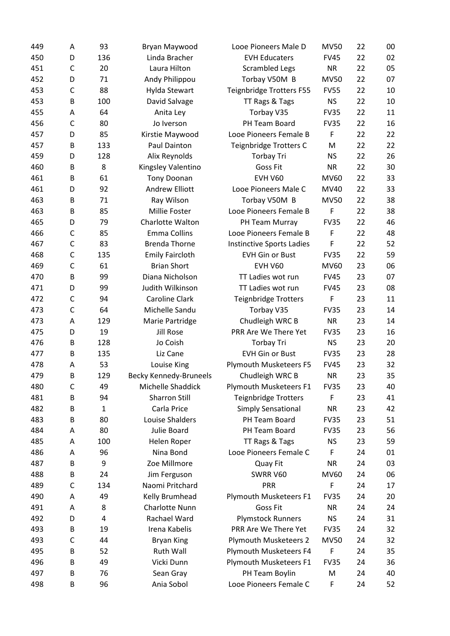| 449 | Α            | 93           | Bryan Maywood                 | Looe Pioneers Male D             | <b>MV50</b> | 22 | 00 |
|-----|--------------|--------------|-------------------------------|----------------------------------|-------------|----|----|
| 450 | D            | 136          | Linda Bracher                 | <b>EVH Educaters</b>             | <b>FV45</b> | 22 | 02 |
| 451 | $\mathsf{C}$ | 20           | Laura Hilton                  | <b>Scrambled Legs</b>            | <b>NR</b>   | 22 | 05 |
| 452 | D            | 71           | Andy Philippou                | Torbay V50M B                    | <b>MV50</b> | 22 | 07 |
| 453 | $\mathsf{C}$ | 88           | Hylda Stewart                 | Teignbridge Trotters F55         | <b>FV55</b> | 22 | 10 |
| 453 | B            | 100          | David Salvage                 | TT Rags & Tags                   | <b>NS</b>   | 22 | 10 |
| 455 | Α            | 64           | Anita Ley                     | Torbay V35                       | <b>FV35</b> | 22 | 11 |
| 456 | $\mathsf{C}$ | 80           | Jo Iverson                    | PH Team Board                    | <b>FV35</b> | 22 | 16 |
| 457 | D            | 85           | Kirstie Maywood               | Looe Pioneers Female B           | F           | 22 | 22 |
| 457 | B            | 133          | Paul Dainton                  | Teignbridge Trotters C           | M           | 22 | 22 |
| 459 | D            | 128          | Alix Reynolds                 | <b>Torbay Tri</b>                | <b>NS</b>   | 22 | 26 |
| 460 | B            | 8            | Kingsley Valentino            | <b>Goss Fit</b>                  | <b>NR</b>   | 22 | 30 |
| 461 | B            | 61           | <b>Tony Doonan</b>            | <b>EVH V60</b>                   | MV60        | 22 | 33 |
| 461 | D            | 92           | <b>Andrew Elliott</b>         | Looe Pioneers Male C             | MV40        | 22 | 33 |
| 463 | B            | 71           | Ray Wilson                    | Torbay V50M B                    | <b>MV50</b> | 22 | 38 |
| 463 | B            | 85           | Millie Foster                 | Looe Pioneers Female B           | F           | 22 | 38 |
| 465 | D            | 79           | Charlotte Walton              | PH Team Murray                   | <b>FV35</b> | 22 | 46 |
| 466 | C            | 85           | <b>Emma Collins</b>           | Looe Pioneers Female B           | F           | 22 | 48 |
| 467 | C            | 83           | <b>Brenda Thorne</b>          | <b>Instinctive Sports Ladies</b> | F           | 22 | 52 |
| 468 | $\mathsf{C}$ | 135          | <b>Emily Faircloth</b>        | <b>EVH Gin or Bust</b>           | <b>FV35</b> | 22 | 59 |
| 469 | $\mathsf{C}$ | 61           | <b>Brian Short</b>            | <b>EVH V60</b>                   | MV60        | 23 | 06 |
| 470 | B            | 99           | Diana Nicholson               | TT Ladies wot run                | <b>FV45</b> | 23 | 07 |
| 471 | D            | 99           | Judith Wilkinson              | TT Ladies wot run                | <b>FV45</b> | 23 | 08 |
| 472 | $\mathsf{C}$ | 94           | Caroline Clark                | <b>Teignbridge Trotters</b>      | F           | 23 | 11 |
| 473 | $\mathsf{C}$ | 64           | Michelle Sandu                | Torbay V35                       | <b>FV35</b> | 23 | 14 |
| 473 | Α            | 129          | Marie Partridge               | Chudleigh WRC B                  | <b>NR</b>   | 23 | 14 |
| 475 | D            | 19           | <b>Jill Rose</b>              | PRR Are We There Yet             | <b>FV35</b> | 23 | 16 |
| 476 | B            | 128          | Jo Coish                      | <b>Torbay Tri</b>                | <b>NS</b>   | 23 | 20 |
| 477 | B            | 135          | Liz Cane                      | <b>EVH Gin or Bust</b>           | <b>FV35</b> | 23 | 28 |
| 478 | Α            | 53           | Louise King                   | Plymouth Musketeers F5           | <b>FV45</b> | 23 | 32 |
| 479 | B            | 129          | <b>Becky Kennedy-Bruneels</b> | Chudleigh WRC B                  | <b>NR</b>   | 23 | 35 |
| 480 | C            | 49           | Michelle Shaddick             | Plymouth Musketeers F1           | <b>FV35</b> | 23 | 40 |
| 481 | В            | 94           | <b>Sharron Still</b>          | <b>Teignbridge Trotters</b>      | F           | 23 | 41 |
| 482 | B            | $\mathbf{1}$ | Carla Price                   | Simply Sensational               | <b>NR</b>   | 23 | 42 |
| 483 | B            | 80           | Louise Shalders               | PH Team Board                    | <b>FV35</b> | 23 | 51 |
| 484 | Α            | 80           | Julie Board                   | PH Team Board                    | <b>FV35</b> | 23 | 56 |
| 485 | Α            | 100          | Helen Roper                   | TT Rags & Tags                   | <b>NS</b>   | 23 | 59 |
| 486 | Α            | 96           | Nina Bond                     | Looe Pioneers Female C           | F           | 24 | 01 |
| 487 | B            | 9            | Zoe Millmore                  | Quay Fit                         | <b>NR</b>   | 24 | 03 |
| 488 | B            | 24           | Jim Ferguson                  | SWRR V60                         | MV60        | 24 | 06 |
| 489 | C            | 134          | Naomi Pritchard               | PRR                              | F           | 24 | 17 |
| 490 | Α            | 49           | Kelly Brumhead                | Plymouth Musketeers F1           | <b>FV35</b> | 24 | 20 |
| 491 | Α            | 8            | Charlotte Nunn                | Goss Fit                         | <b>NR</b>   | 24 | 24 |
| 492 | D            | 4            | Rachael Ward                  | <b>Plymstock Runners</b>         | <b>NS</b>   | 24 | 31 |
| 493 | B            | 19           | Irena Kabelis                 | PRR Are We There Yet             | <b>FV35</b> | 24 | 32 |
| 493 | C            | 44           | <b>Bryan King</b>             | <b>Plymouth Musketeers 2</b>     | <b>MV50</b> | 24 | 32 |
| 495 | В            | 52           | Ruth Wall                     | Plymouth Musketeers F4           | F           | 24 | 35 |
| 496 | В            | 49           | Vicki Dunn                    | Plymouth Musketeers F1           | <b>FV35</b> | 24 | 36 |
| 497 | B            | 76           | Sean Gray                     | PH Team Boylin                   | M           | 24 | 40 |
| 498 | B            | 96           | Ania Sobol                    | Looe Pioneers Female C           | F           | 24 | 52 |
|     |              |              |                               |                                  |             |    |    |